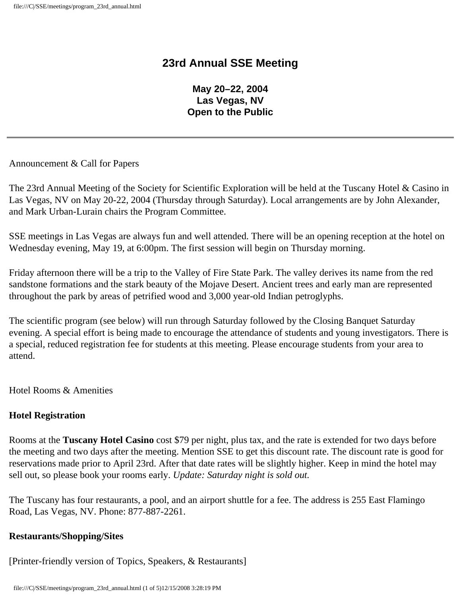## **23rd Annual SSE Meeting**

**May 20–22, 2004 Las Vegas, NV Open to the Public** 

Announcement & Call for Papers

The 23rd Annual Meeting of the Society for Scientific Exploration will be held at the Tuscany Hotel & Casino in Las Vegas, NV on May 20-22, 2004 (Thursday through Saturday). Local arrangements are by John Alexander, and Mark Urban-Lurain chairs the Program Committee.

SSE meetings in Las Vegas are always fun and well attended. There will be an opening reception at the hotel on Wednesday evening, May 19, at 6:00pm. The first session will begin on Thursday morning.

Friday afternoon there will be a trip to the Valley of Fire State Park. The valley derives its name from the red sandstone formations and the stark beauty of the Mojave Desert. Ancient trees and early man are represented throughout the park by areas of petrified wood and 3,000 year-old Indian petroglyphs.

The scientific program (see below) will run through Saturday followed by the Closing Banquet Saturday evening. A special effort is being made to encourage the attendance of students and young investigators. There is a special, reduced registration fee for students at this meeting. Please encourage students from your area to attend.

Hotel Rooms & Amenities

#### **Hotel Registration**

Rooms at the **Tuscany Hotel Casino** cost \$79 per night, plus tax, and the rate is extended for two days before the meeting and two days after the meeting. Mention SSE to get this discount rate. The discount rate is good for reservations made prior to April 23rd. After that date rates will be slightly higher. Keep in mind the hotel may sell out, so please book your rooms early. *Update: Saturday night is sold out.*

The Tuscany has four restaurants, a pool, and an airport shuttle for a fee. The address is 255 East Flamingo Road, Las Vegas, NV. Phone: 877-887-2261.

#### **Restaurants/Shopping/Sites**

[Printer-friendly version of Topics, Speakers, & Restaurants]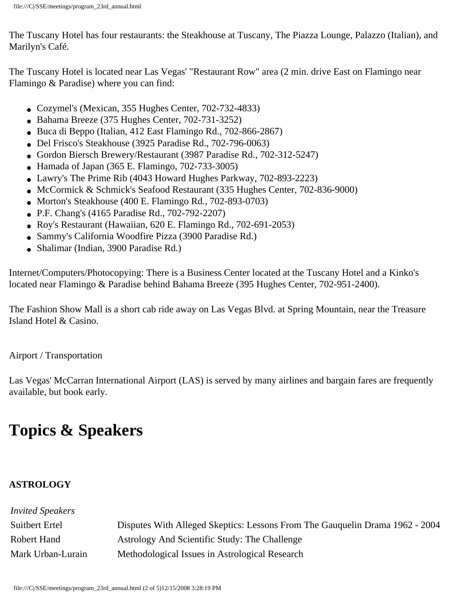The Tuscany Hotel has four restaurants: the Steakhouse at Tuscany, The Piazza Lounge, Palazzo (Italian), and Marilyn's Café.

The Tuscany Hotel is located near Las Vegas' "Restaurant Row" area (2 min. drive East on Flamingo near Flamingo & Paradise) where you can find:

- Cozymel's (Mexican, 355 Hughes Center, 702-732-4833)
- Bahama Breeze (375 Hughes Center, 702-731-3252)
- Buca di Beppo (Italian, 412 East Flamingo Rd., 702-866-2867)
- Del Frisco's Steakhouse (3925 Paradise Rd., 702-796-0063)
- Gordon Biersch Brewery/Restaurant (3987 Paradise Rd., 702-312-5247)
- $\bullet$  Hamada of Japan (365 E. Flamingo, 702-733-3005)
- Lawry's The Prime Rib (4043 Howard Hughes Parkway, 702-893-2223)
- McCormick & Schmick's Seafood Restaurant (335 Hughes Center, 702-836-9000)
- Morton's Steakhouse (400 E. Flamingo Rd., 702-893-0703)
- P.F. Chang's (4165 Paradise Rd., 702-792-2207)
- Roy's Restaurant (Hawaiian, 620 E. Flamingo Rd., 702-691-2053)
- Sammy's California Woodfire Pizza (3900 Paradise Rd.)
- Shalimar (Indian, 3900 Paradise Rd.)

Internet/Computers/Photocopying: There is a Business Center located at the Tuscany Hotel and a Kinko's located near Flamingo & Paradise behind Bahama Breeze (395 Hughes Center, 702-951-2400).

The Fashion Show Mall is a short cab ride away on Las Vegas Blvd. at Spring Mountain, near the Treasure Island Hotel & Casino.

Airport / Transportation

Las Vegas' McCarran International Airport (LAS) is served by many airlines and bargain fares are frequently available, but book early.

# **Topics & Speakers**

## **ASTROLOGY**

| <i>Invited Speakers</i> |                                                                              |
|-------------------------|------------------------------------------------------------------------------|
| Suitbert Ertel          | Disputes With Alleged Skeptics: Lessons From The Gauguelin Drama 1962 - 2004 |
| Robert Hand             | Astrology And Scientific Study: The Challenge                                |
| Mark Urban-Lurain       | Methodological Issues in Astrological Research                               |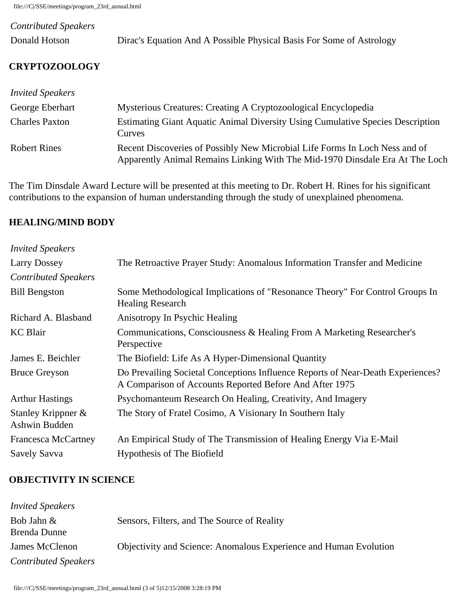file:///C|/SSE/meetings/program\_23rd\_annual.html

| <b>Contributed Speakers</b> |                                                                      |
|-----------------------------|----------------------------------------------------------------------|
| Donald Hotson               | Dirac's Equation And A Possible Physical Basis For Some of Astrology |

## **CRYPTOZOOLOGY**

| <i>Invited Speakers</i> |                                                                                                                                                             |
|-------------------------|-------------------------------------------------------------------------------------------------------------------------------------------------------------|
| George Eberhart         | Mysterious Creatures: Creating A Cryptozoological Encyclopedia                                                                                              |
| <b>Charles Paxton</b>   | Estimating Giant Aquatic Animal Diversity Using Cumulative Species Description<br>Curves                                                                    |
| <b>Robert Rines</b>     | Recent Discoveries of Possibly New Microbial Life Forms In Loch Ness and of<br>Apparently Animal Remains Linking With The Mid-1970 Dinsdale Era At The Loch |

The Tim Dinsdale Award Lecture will be presented at this meeting to Dr. Robert H. Rines for his significant contributions to the expansion of human understanding through the study of unexplained phenomena.

#### **HEALING/MIND BODY**

| <b>Invited Speakers</b>             |                                                                                                                                            |
|-------------------------------------|--------------------------------------------------------------------------------------------------------------------------------------------|
| <b>Larry Dossey</b>                 | The Retroactive Prayer Study: Anomalous Information Transfer and Medicine                                                                  |
| <b>Contributed Speakers</b>         |                                                                                                                                            |
| <b>Bill Bengston</b>                | Some Methodological Implications of "Resonance Theory" For Control Groups In<br><b>Healing Research</b>                                    |
| Richard A. Blasband                 | Anisotropy In Psychic Healing                                                                                                              |
| <b>KC</b> Blair                     | Communications, Consciousness & Healing From A Marketing Researcher's<br>Perspective                                                       |
| James E. Beichler                   | The Biofield: Life As A Hyper-Dimensional Quantity                                                                                         |
| <b>Bruce Greyson</b>                | Do Prevailing Societal Conceptions Influence Reports of Near-Death Experiences?<br>A Comparison of Accounts Reported Before And After 1975 |
| <b>Arthur Hastings</b>              | Psychomanteum Research On Healing, Creativity, And Imagery                                                                                 |
| Stanley Krippner &<br>Ashwin Budden | The Story of Fratel Cosimo, A Visionary In Southern Italy                                                                                  |
| <b>Francesca McCartney</b>          | An Empirical Study of The Transmission of Healing Energy Via E-Mail                                                                        |
| Savely Savva                        | Hypothesis of The Biofield                                                                                                                 |

#### **OBJECTIVITY IN SCIENCE**

| <b>Invited Speakers</b>     |                                                                          |
|-----------------------------|--------------------------------------------------------------------------|
| Bob Jahn &<br>Brenda Dunne  | Sensors, Filters, and The Source of Reality                              |
| James McClenon              | <b>Objectivity and Science: Anomalous Experience and Human Evolution</b> |
| <b>Contributed Speakers</b> |                                                                          |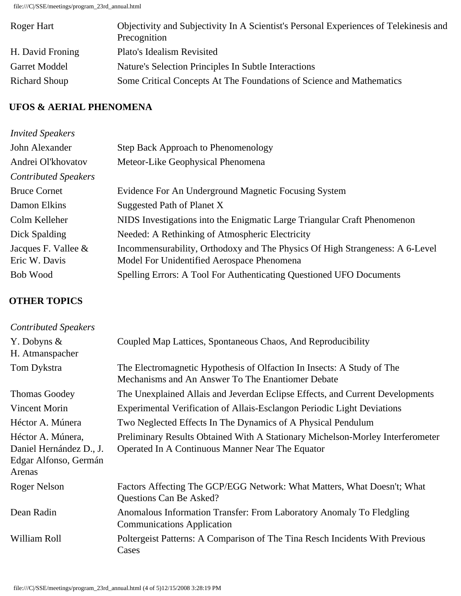file:///C|/SSE/meetings/program\_23rd\_annual.html

| Roger Hart           | Objectivity and Subjectivity In A Scientist's Personal Experiences of Telekinesis and<br>Precognition |
|----------------------|-------------------------------------------------------------------------------------------------------|
| H. David Froning     | Plato's Idealism Revisited                                                                            |
| <b>Garret Moddel</b> | Nature's Selection Principles In Subtle Interactions                                                  |
| <b>Richard Shoup</b> | Some Critical Concepts At The Foundations of Science and Mathematics                                  |

### **UFOS & AERIAL PHENOMENA**

| <b>Invited Speakers</b>     |                                                                              |
|-----------------------------|------------------------------------------------------------------------------|
| John Alexander              | Step Back Approach to Phenomenology                                          |
| Andrei Ol'khovatov          | Meteor-Like Geophysical Phenomena                                            |
| <b>Contributed Speakers</b> |                                                                              |
| <b>Bruce Cornet</b>         | Evidence For An Underground Magnetic Focusing System                         |
| Damon Elkins                | Suggested Path of Planet X                                                   |
| Colm Kelleher               | NIDS Investigations into the Enigmatic Large Triangular Craft Phenomenon     |
| Dick Spalding               | Needed: A Rethinking of Atmospheric Electricity                              |
| Jacques F. Vallee $\&$      | Incommensurability, Orthodoxy and The Physics Of High Strangeness: A 6-Level |
| Eric W. Davis               | Model For Unidentified Aerospace Phenomena                                   |
| Bob Wood                    | Spelling Errors: A Tool For Authenticating Questioned UFO Documents          |
|                             |                                                                              |

## **OTHER TOPICS**

| <b>Contributed Speakers</b>                                                     |                                                                                                                                    |
|---------------------------------------------------------------------------------|------------------------------------------------------------------------------------------------------------------------------------|
| Y. Dobyns $\&$<br>H. Atmanspacher                                               | Coupled Map Lattices, Spontaneous Chaos, And Reproducibility                                                                       |
| Tom Dykstra                                                                     | The Electromagnetic Hypothesis of Olfaction In Insects: A Study of The<br>Mechanisms and An Answer To The Enantiomer Debate        |
| <b>Thomas Goodey</b>                                                            | The Unexplained Allais and Jeverdan Eclipse Effects, and Current Developments                                                      |
| Vincent Morin                                                                   | Experimental Verification of Allais-Esclangon Periodic Light Deviations                                                            |
| Héctor A. Múnera                                                                | Two Neglected Effects In The Dynamics of A Physical Pendulum                                                                       |
| Héctor A. Múnera,<br>Daniel Hernández D., J.<br>Edgar Alfonso, Germán<br>Arenas | Preliminary Results Obtained With A Stationary Michelson-Morley Interferometer<br>Operated In A Continuous Manner Near The Equator |
| Roger Nelson                                                                    | Factors Affecting The GCP/EGG Network: What Matters, What Doesn't; What<br>Questions Can Be Asked?                                 |
| Dean Radin                                                                      | Anomalous Information Transfer: From Laboratory Anomaly To Fledgling<br><b>Communications Application</b>                          |
| William Roll                                                                    | Poltergeist Patterns: A Comparison of The Tina Resch Incidents With Previous<br>Cases                                              |